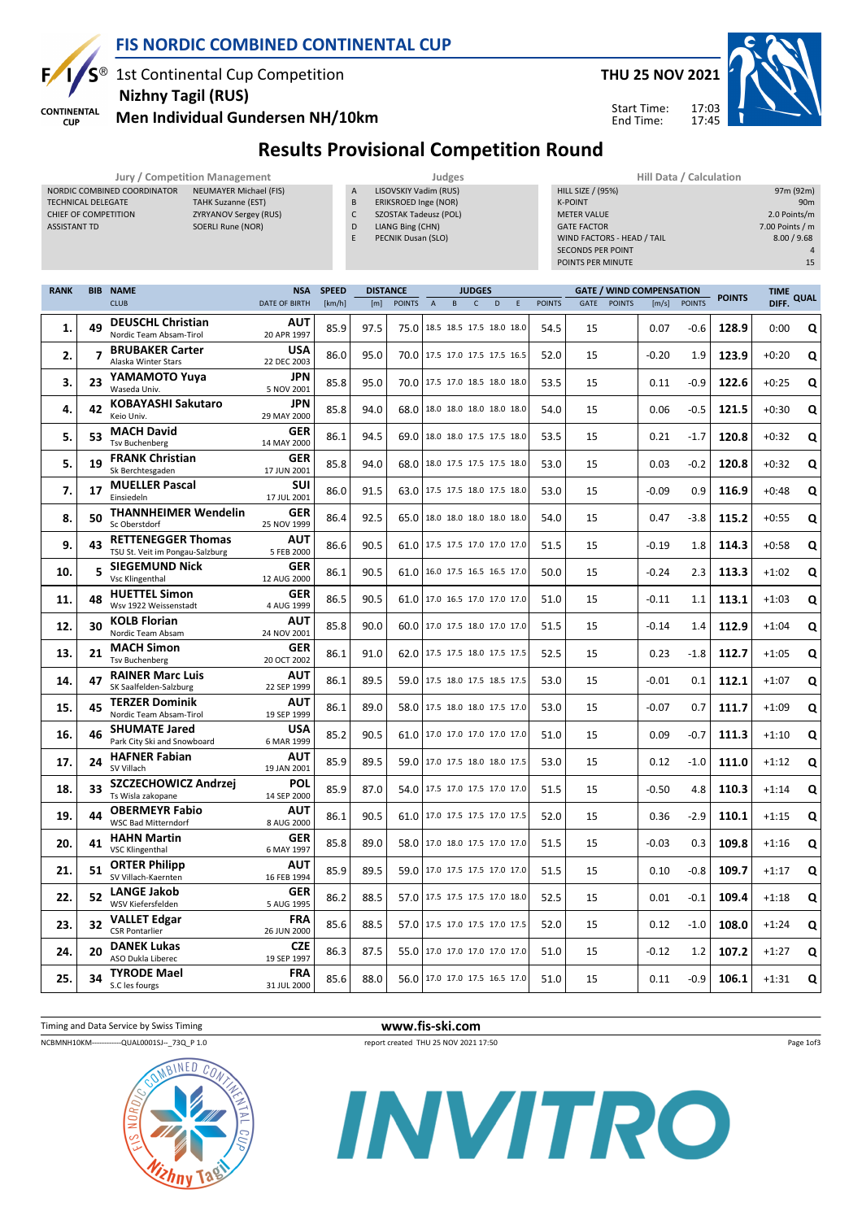

**CUP** 

### FIS NORDIC COMBINED CONTINENTAL CUP

1st Continental Cup Competition Nizhny Tagil (RUS)



Start Time: End Time:



Men Individual Gundersen NH/10km

NORDIC COMBINED COORDINATOR NEUMAYER Michael (FIS) TECHNICAL DELEGATE TAHK Suzanne (EST) CHIEF OF COMPETITION ZYRYANOV Sergey (RUS) ASSISTANT TD SOERLI Rune (NOR)

#### Results Provisional Competition Round

- Jury / Competition Management<br>In A LISOVSKIY Vadim (RUS) DOORDINATOR NEUMAYER Michael (FIS) LISOVSKIY Vadim (RUS)
	- B ERIKSROED Inge (NOR)
	- C SZOSTAK Tadeusz (POL) D LIANG Bing (CHN)
	- E PECNIK Dusan (SLO)

| Hill Data / Calculation    |                 |
|----------------------------|-----------------|
| <b>HILL SIZE / (95%)</b>   | 97m (92m)       |
| <b>K-POINT</b>             | 90 <sub>m</sub> |
| <b>METER VALUE</b>         | 2.0 Points/m    |
| <b>GATE FACTOR</b>         | 7.00 Points / m |
| WIND FACTORS - HEAD / TAIL | 8.00 / 9.68     |
| <b>SECONDS PER POINT</b>   | 4               |
| POINTS PER MINUTE          | 15              |

17:03 17:45

| <b>RANK</b> |    | <b>BIB NAME</b>                                              | <b>NSA</b>                | <b>SPEED</b> | <b>DISTANCE</b> |               |                                 | <b>JUDGES</b> |   |             |               |             |               | <b>GATE / WIND COMPENSATION</b> |               | <b>POINTS</b> | <b>TIME</b> | <b>QUAL</b> |
|-------------|----|--------------------------------------------------------------|---------------------------|--------------|-----------------|---------------|---------------------------------|---------------|---|-------------|---------------|-------------|---------------|---------------------------------|---------------|---------------|-------------|-------------|
|             |    | <b>CLUB</b>                                                  | <b>DATE OF BIRTH</b>      | [km/h]       | [m]             | <b>POINTS</b> | $\overline{A}$<br>B             | $\mathsf{C}$  | D | $\mathsf E$ | <b>POINTS</b> | <b>GATE</b> | <b>POINTS</b> | [m/s]                           | <b>POINTS</b> |               | DIFF.       |             |
| 1.          | 49 | <b>DEUSCHL Christian</b><br>Nordic Team Absam-Tirol          | <b>AUT</b><br>20 APR 1997 | 85.9         | 97.5            | 75.0          | 18.5 18.5 17.5 18.0 18.0        |               |   |             | 54.5          | 15          |               | 0.07                            | $-0.6$        | 128.9         | 0:00        | Q           |
| 2.          | 7  | <b>BRUBAKER Carter</b><br>Alaska Winter Stars                | <b>USA</b><br>22 DEC 2003 | 86.0         | 95.0            |               | 70.0 17.5 17.0 17.5 17.5 16.5   |               |   |             | 52.0          | 15          |               | $-0.20$                         | 1.9           | 123.9         | $+0:20$     | Q           |
| 3.          | 23 | YAMAMOTO Yuya<br>Waseda Univ.                                | <b>JPN</b><br>5 NOV 2001  | 85.8         | 95.0            |               | 70.0 17.5 17.0 18.5 18.0 18.0   |               |   |             | 53.5          | 15          |               | 0.11                            | $-0.9$        | 122.6         | $+0:25$     | Q           |
| 4.          | 42 | <b>KOBAYASHI Sakutaro</b><br>Keio Univ.                      | <b>JPN</b><br>29 MAY 2000 | 85.8         | 94.0            | 68.0          | 18.0 18.0 18.0 18.0 18.0        |               |   |             | 54.0          | 15          |               | 0.06                            | $-0.5$        | 121.5         | $+0:30$     | Q           |
| 5.          | 53 | <b>MACH David</b><br><b>Tsv Buchenberg</b>                   | <b>GER</b><br>14 MAY 2000 | 86.1         | 94.5            |               | 69.0   18.0 18.0 17.5 17.5 18.0 |               |   |             | 53.5          | 15          |               | 0.21                            | $-1.7$        | 120.8         | $+0:32$     | Q           |
| 5.          | 19 | <b>FRANK Christian</b><br>Sk Berchtesgaden                   | <b>GER</b><br>17 JUN 2001 | 85.8         | 94.0            |               | 68.0 18.0 17.5 17.5 17.5 18.0   |               |   |             | 53.0          | 15          |               | 0.03                            | $-0.2$        | 120.8         | $+0:32$     | Q           |
| 7.          | 17 | <b>MUELLER Pascal</b><br>Einsiedeln                          | <b>SUI</b><br>17 JUL 2001 | 86.0         | 91.5            | 63.0          | 17.5 17.5 18.0 17.5 18.0        |               |   |             | 53.0          | 15          |               | $-0.09$                         | 0.9           | 116.9         | $+0:48$     | Q           |
| 8.          | 50 | <b>THANNHEIMER Wendelin</b><br>Sc Oberstdorf                 | GER<br>25 NOV 1999        | 86.4         | 92.5            | 65.0          | 18.0 18.0 18.0 18.0 18.0        |               |   |             | 54.0          | 15          |               | 0.47                            | -3.8          | 115.2         | $+0:55$     | Q           |
| 9.          | 43 | <b>RETTENEGGER Thomas</b><br>TSU St. Veit im Pongau-Salzburg | <b>AUT</b><br>5 FEB 2000  | 86.6         | 90.5            |               | 61.0 17.5 17.5 17.0 17.0 17.0   |               |   |             | 51.5          | 15          |               | $-0.19$                         | 1.8           | 114.3         | $+0:58$     | Q           |
| 10.         | 5  | <b>SIEGEMUND Nick</b><br>Vsc Klingenthal                     | GER<br>12 AUG 2000        | 86.1         | 90.5            | 61.0          | 16.0 17.5 16.5 16.5 17.0        |               |   |             | 50.0          | 15          |               | $-0.24$                         | 2.3           | 113.3         | $+1:02$     | Q           |
| 11.         | 48 | <b>HUETTEL Simon</b><br>Wsv 1922 Weissenstadt                | GER<br>4 AUG 1999         | 86.5         | 90.5            | 61.0          | 17.0 16.5 17.0 17.0 17.0        |               |   |             | 51.0          | 15          |               | $-0.11$                         | 1.1           | 113.1         | $+1:03$     | Q           |
| 12.         | 30 | <b>KOLB Florian</b><br>Nordic Team Absam                     | <b>AUT</b><br>24 NOV 2001 | 85.8         | 90.0            |               | 60.0 17.0 17.5 18.0 17.0 17.0   |               |   |             | 51.5          | 15          |               | $-0.14$                         | 1.4           | 112.9         | $+1:04$     | Q           |
| 13.         | 21 | <b>MACH Simon</b><br><b>Tsv Buchenberg</b>                   | <b>GER</b><br>20 OCT 2002 | 86.1         | 91.0            | 62.0          | 17.5 17.5 18.0 17.5 17.5        |               |   |             | 52.5          | 15          |               | 0.23                            | -1.8          | 112.7         | $+1:05$     | Q           |
| 14.         | 47 | <b>RAINER Marc Luis</b><br>SK Saalfelden-Salzburg            | <b>AUT</b><br>22 SEP 1999 | 86.1         | 89.5            | 59.0          | 17.5 18.0 17.5 18.5 17.5        |               |   |             | 53.0          | 15          |               | $-0.01$                         | 0.1           | 112.1         | $+1:07$     | Q           |
| 15.         | 45 | <b>TERZER Dominik</b><br>Nordic Team Absam-Tirol             | <b>AUT</b><br>19 SEP 1999 | 86.1         | 89.0            |               | 58.0 17.5 18.0 18.0 17.5 17.0   |               |   |             | 53.0          | 15          |               | $-0.07$                         | 0.7           | 111.7         | $+1:09$     | Q           |
| 16.         | 46 | <b>SHUMATE Jared</b><br>Park City Ski and Snowboard          | <b>USA</b><br>6 MAR 1999  | 85.2         | 90.5            | 61.0          | 17.0 17.0 17.0 17.0 17.0        |               |   |             | 51.0          | 15          |               | 0.09                            | -0.7          | 111.3         | $+1:10$     | Q           |
| 17.         | 24 | <b>HAFNER Fabian</b><br>SV Villach                           | <b>AUT</b><br>19 JAN 2001 | 85.9         | 89.5            | 59.0          | 17.0 17.5 18.0 18.0 17.5        |               |   |             | 53.0          | 15          |               | 0.12                            | $-1.0$        | 111.0         | $+1:12$     | Q           |
| 18.         | 33 | SZCZECHOWICZ Andrzej<br>Ts Wisla zakopane                    | POL<br>14 SEP 2000        | 85.9         | 87.0            | 54.0          | 17.5 17.0 17.5 17.0 17.0        |               |   |             | 51.5          | 15          |               | $-0.50$                         | 4.8           | 110.3         | $+1:14$     | Q           |
| 19.         | 44 | <b>OBERMEYR Fabio</b><br><b>WSC Bad Mitterndorf</b>          | <b>AUT</b><br>8 AUG 2000  | 86.1         | 90.5            | 61.0          | 17.0 17.5 17.5 17.0 17.5        |               |   |             | 52.0          | 15          |               | 0.36                            | $-2.9$        | 110.1         | $+1:15$     | Q           |
| 20.         | 41 | <b>HAHN Martin</b><br><b>VSC Klingenthal</b>                 | <b>GER</b><br>6 MAY 1997  | 85.8         | 89.0            | 58.0          | 17.0 18.0 17.5 17.0 17.0        |               |   |             | 51.5          | 15          |               | $-0.03$                         | 0.3           | 109.8         | $+1:16$     | Q           |
| 21.         | 51 | <b>ORTER Philipp</b><br>SV Villach-Kaernten                  | <b>AUT</b><br>16 FEB 1994 | 85.9         | 89.5            | 59.0          | 17.0 17.5 17.5 17.0 17.0        |               |   |             | 51.5          | 15          |               | 0.10                            | $-0.8$        | 109.7         | $+1:17$     | Q           |
| 22.         | 52 | <b>LANGE Jakob</b><br>WSV Kiefersfelden                      | GER<br>5 AUG 1995         | 86.2         | 88.5            | 57.0          | 17.5 17.5 17.5 17.0 18.0        |               |   |             | 52.5          | 15          |               | 0.01                            | $-0.1$        | 109.4         | $+1:18$     | Q           |
| 23.         | 32 | <b>VALLET Edgar</b><br><b>CSR Pontarlier</b>                 | <b>FRA</b><br>26 JUN 2000 | 85.6         | 88.5            |               | 57.0 17.5 17.0 17.5 17.0 17.5   |               |   |             | 52.0          | 15          |               | 0.12                            | -1.0          | 108.0         | $+1:24$     | Q           |
| 24.         | 20 | <b>DANEK Lukas</b><br>ASO Dukla Liberec                      | <b>CZE</b><br>19 SEP 1997 | 86.3         | 87.5            | 55.0          | 17.0 17.0 17.0 17.0 17.0        |               |   |             | 51.0          | 15          |               | $-0.12$                         | 1.2           | 107.2         | $+1:27$     | Q           |
| 25.         | 34 | <b>TYRODE Mael</b><br>S.C les fourgs                         | <b>FRA</b><br>31 JUL 2000 | 85.6         | 88.0            |               | 56.0 17.0 17.0 17.5 16.5 17.0   |               |   |             | 51.0          | 15          |               | 0.11                            | -0.9          | 106.1         | $+1:31$     | Q           |

Timing and Data Service by Swiss Timing **www.fis-ski.com** NCBMNH10KM-------------QUAL0001SJ--\_73Q\_P 1.0 report created THU 25 NOV 2021 17:50

Page 1of3



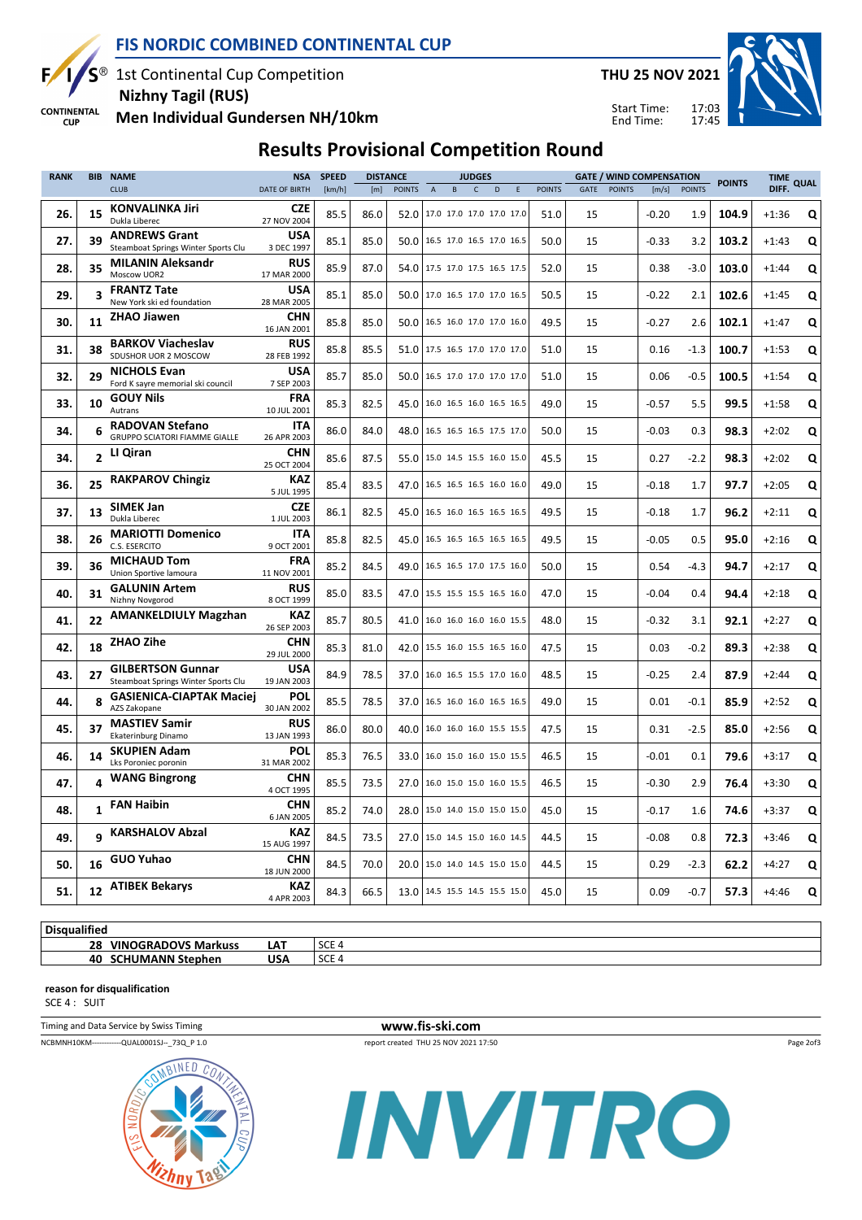

**CUP** 

# FIS NORDIC COMBINED CONTINENTAL CUP

1st Continental Cup Competition Nizhny Tagil (RUS)

THU 25 NOV 2021

Start Time: End Time:

17:03 17:45



**CONTINENTAL** Men Individual Gundersen NH/10km

### Results Provisional Competition Round

| <b>RANK</b> |                | <b>BIB NAME</b>                                                 | <b>NSA</b>                | <b>SPEED</b> | <b>DISTANCE</b> |                               |                          |                          | <b>JUDGES</b> |   |   |               |      |               | <b>GATE / WIND COMPENSATION</b> |               | <b>POINTS</b> | TIME QUAL |   |
|-------------|----------------|-----------------------------------------------------------------|---------------------------|--------------|-----------------|-------------------------------|--------------------------|--------------------------|---------------|---|---|---------------|------|---------------|---------------------------------|---------------|---------------|-----------|---|
|             |                | <b>CLUB</b>                                                     | <b>DATE OF BIRTH</b>      | [km/h]       | [m]             | <b>POINTS</b>                 | A                        | B                        | $\mathsf{C}$  | D | F | <b>POINTS</b> | GATE | <b>POINTS</b> | [m/s]                           | <b>POINTS</b> |               | DIFF.     |   |
| 26.         | 15             | <b>KONVALINKA Jiri</b><br>Dukla Liberec                         | <b>CZE</b><br>27 NOV 2004 | 85.5         | 86.0            | 52.0                          | 17.0 17.0 17.0 17.0 17.0 |                          |               |   |   | 51.0          | 15   |               | $-0.20$                         | 1.9           | 104.9         | $+1:36$   | Q |
| 27.         | 39             | <b>ANDREWS Grant</b><br>Steamboat Springs Winter Sports Clu     | <b>USA</b><br>3 DEC 1997  | 85.1         | 85.0            | 50.0                          | 16.5 17.0 16.5 17.0 16.5 |                          |               |   |   | 50.0          | 15   |               | $-0.33$                         | 3.2           | 103.2         | $+1:43$   | Q |
| 28.         | 35             | <b>MILANIN Aleksandr</b><br>Moscow UOR2                         | <b>RUS</b><br>17 MAR 2000 | 85.9         | 87.0            | 54.0                          | 17.5 17.0 17.5 16.5 17.5 |                          |               |   |   | 52.0          | 15   |               | 0.38                            | $-3.0$        | 103.0         | $+1:44$   | Q |
| 29.         | 3              | <b>FRANTZ Tate</b><br>New York ski ed foundation                | <b>USA</b><br>28 MAR 2005 | 85.1         | 85.0            | 50.0                          | 17.0 16.5 17.0 17.0 16.5 |                          |               |   |   | 50.5          | 15   |               | $-0.22$                         | 2.1           | 102.6         | $+1:45$   | Q |
| 30.         | 11             | <b>ZHAO Jiawen</b>                                              | <b>CHN</b><br>16 JAN 2001 | 85.8         | 85.0            | 50.0                          |                          | 16.5 16.0 17.0 17.0 16.0 |               |   |   | 49.5          | 15   |               | $-0.27$                         | 2.6           | 102.1         | $+1:47$   | Q |
| 31.         | 38             | <b>BARKOV Viacheslav</b><br>SDUSHOR UOR 2 MOSCOW                | <b>RUS</b><br>28 FEB 1992 | 85.8         | 85.5            | 51.0                          | 17.5 16.5 17.0 17.0 17.0 |                          |               |   |   | 51.0          | 15   |               | 0.16                            | $-1.3$        | 100.7         | $+1:53$   | Q |
| 32.         | 29             | <b>NICHOLS Evan</b><br>Ford K sayre memorial ski council        | <b>USA</b><br>7 SEP 2003  | 85.7         | 85.0            | 50.0                          |                          | 16.5 17.0 17.0 17.0 17.0 |               |   |   | 51.0          | 15   |               | 0.06                            | $-0.5$        | 100.5         | $+1:54$   | Q |
| 33.         | 10             | <b>GOUY Nils</b><br>Autrans                                     | <b>FRA</b><br>10 JUL 2001 | 85.3         | 82.5            | 45.0                          | 16.0 16.5 16.0 16.5 16.5 |                          |               |   |   | 49.0          | 15   |               | $-0.57$                         | 5.5           | 99.5          | $+1:58$   | Q |
| 34.         | 6              | <b>RADOVAN Stefano</b><br>GRUPPO SCIATORI FIAMME GIALLE         | <b>ITA</b><br>26 APR 2003 | 86.0         | 84.0            | 48.0                          | 16.5 16.5 16.5 17.5 17.0 |                          |               |   |   | 50.0          | 15   |               | $-0.03$                         | 0.3           | 98.3          | $+2:02$   | Q |
| 34.         | $\overline{2}$ | LI Qiran                                                        | <b>CHN</b><br>25 OCT 2004 | 85.6         | 87.5            | 55.0                          | 15.0 14.5 15.5 16.0 15.0 |                          |               |   |   | 45.5          | 15   |               | 0.27                            | $-2.2$        | 98.3          | $+2:02$   | Q |
| 36.         | 25             | <b>RAKPAROV Chingiz</b>                                         | KAZ<br>5 JUL 1995         | 85.4         | 83.5            | 47.0                          | 16.5 16.5 16.5 16.0 16.0 |                          |               |   |   | 49.0          | 15   |               | $-0.18$                         | 1.7           | 97.7          | $+2:05$   | Q |
| 37.         | 13             | <b>SIMEK Jan</b><br>Dukla Liberec                               | <b>CZE</b><br>1 JUL 2003  | 86.1         | 82.5            | 45.0                          | 16.5 16.0 16.5 16.5 16.5 |                          |               |   |   | 49.5          | 15   |               | $-0.18$                         | 1.7           | 96.2          | $+2:11$   | Q |
| 38.         | 26             | <b>MARIOTTI Domenico</b><br>C.S. ESERCITO                       | <b>ITA</b><br>9 OCT 2001  | 85.8         | 82.5            | 45.0                          |                          | 16.5 16.5 16.5 16.5 16.5 |               |   |   | 49.5          | 15   |               | $-0.05$                         | 0.5           | 95.0          | $+2:16$   | Q |
| 39.         | 36             | <b>MICHAUD Tom</b><br>Union Sportive lamoura                    | FRA<br>11 NOV 2001        | 85.2         | 84.5            | 49.0                          |                          | 16.5 16.5 17.0 17.5 16.0 |               |   |   | 50.0          | 15   |               | 0.54                            | $-4.3$        | 94.7          | $+2:17$   | Q |
| 40.         | 31             | <b>GALUNIN Artem</b><br>Nizhny Novgorod                         | <b>RUS</b><br>8 OCT 1999  | 85.0         | 83.5            | 47.0                          | 15.5 15.5 15.5 16.5 16.0 |                          |               |   |   | 47.0          | 15   |               | $-0.04$                         | 0.4           | 94.4          | $+2:18$   | Q |
| 41.         | 22             | <b>AMANKELDIULY Magzhan</b>                                     | KAZ<br>26 SEP 2003        | 85.7         | 80.5            | 41.0                          | 16.0 16.0 16.0 16.0 15.5 |                          |               |   |   | 48.0          | 15   |               | $-0.32$                         | 3.1           | 92.1          | $+2:27$   | Q |
| 42.         | 18             | ZHAO Zihe                                                       | <b>CHN</b><br>29 JUL 2000 | 85.3         | 81.0            | 42.0                          | 15.5 16.0 15.5 16.5 16.0 |                          |               |   |   | 47.5          | 15   |               | 0.03                            | $-0.2$        | 89.3          | $+2:38$   | Q |
| 43.         | 27             | <b>GILBERTSON Gunnar</b><br>Steamboat Springs Winter Sports Clu | <b>USA</b><br>19 JAN 2003 | 84.9         | 78.5            | 37.0                          | 16.0 16.5 15.5 17.0 16.0 |                          |               |   |   | 48.5          | 15   |               | $-0.25$                         | 2.4           | 87.9          | $+2:44$   | Q |
| 44.         | 8              | <b>GASIENICA-CIAPTAK Maciej</b><br>AZS Zakopane                 | <b>POL</b><br>30 JAN 2002 | 85.5         | 78.5            | 37.0                          | 16.5 16.0 16.0 16.5 16.5 |                          |               |   |   | 49.0          | 15   |               | 0.01                            | $-0.1$        | 85.9          | $+2:52$   | Q |
| 45.         | 37             | <b>MASTIEV Samir</b><br>Ekaterinburg Dinamo                     | <b>RUS</b><br>13 JAN 1993 | 86.0         | 80.0            | 40.0                          | 16.0 16.0 16.0 15.5 15.5 |                          |               |   |   | 47.5          | 15   |               | 0.31                            | $-2.5$        | 85.0          | $+2:56$   | Q |
| 46.         | 14             | <b>SKUPIEN Adam</b><br>Lks Poroniec poronin                     | POL<br>31 MAR 2002        | 85.3         | 76.5            | 33.0                          | 16.0 15.0 16.0 15.0 15.5 |                          |               |   |   | 46.5          | 15   |               | $-0.01$                         | 0.1           | 79.6          | $+3:17$   | Q |
| 47.         | 4              | <b>WANG Bingrong</b>                                            | <b>CHN</b><br>4 OCT 1995  | 85.5         | 73.5            | 27.0                          |                          | 16.0 15.0 15.0 16.0 15.5 |               |   |   | 46.5          | 15   |               | $-0.30$                         | 2.9           | 76.4          | $+3:30$   | Q |
| 48.         | 1              | <b>FAN Haibin</b>                                               | <b>CHN</b><br>6 JAN 2005  | 85.2         | 74.0            | 28.0                          | 15.0 14.0 15.0 15.0 15.0 |                          |               |   |   | 45.0          | 15   |               | $-0.17$                         | 1.6           | 74.6          | $+3:37$   | Q |
| 49.         | q              | <b>KARSHALOV Abzal</b>                                          | KAZ<br>15 AUG 1997        | 84.5         | 73.5            | 27.0                          | 15.0 14.5 15.0 16.0 14.5 |                          |               |   |   | 44.5          | 15   |               | $-0.08$                         | 0.8           | 72.3          | $+3:46$   | Q |
| 50.         | 16             | <b>GUO Yuhao</b>                                                | CHN<br>18 JUN 2000        | 84.5         | 70.0            | 20.0                          | 15.0 14.0 14.5 15.0 15.0 |                          |               |   |   | 44.5          | 15   |               | 0.29                            | $-2.3$        | 62.2          | $+4:27$   | Q |
| 51.         |                | 12 ATIBEK Bekarys                                               | <b>KAZ</b><br>4 APR 2003  | 84.3         | 66.5            | 13.0 14.5 15.5 14.5 15.5 15.0 |                          |                          |               |   |   | 45.0          | 15   |               | 0.09                            | $-0.7$        | 57.3          | $+4:46$   | Q |

| <br>Disa<br>ualitied             |            |                     |
|----------------------------------|------------|---------------------|
| <b>VINOGRADOVS Markuss</b><br>28 | <b>LAT</b> | <b>SCE</b><br>ししし   |
| <b>NIN</b><br>40<br>epnen        | USA        | $\sim$<br>``<br>ししし |
|                                  |            |                     |

#### reason for disqualification

SCE 4 : SUIT

NCBMNH10KM--------------QUAL0001SJ--\_73Q\_P 1.0 report created THU 25 NOV 2021 17:50



Page 2of3